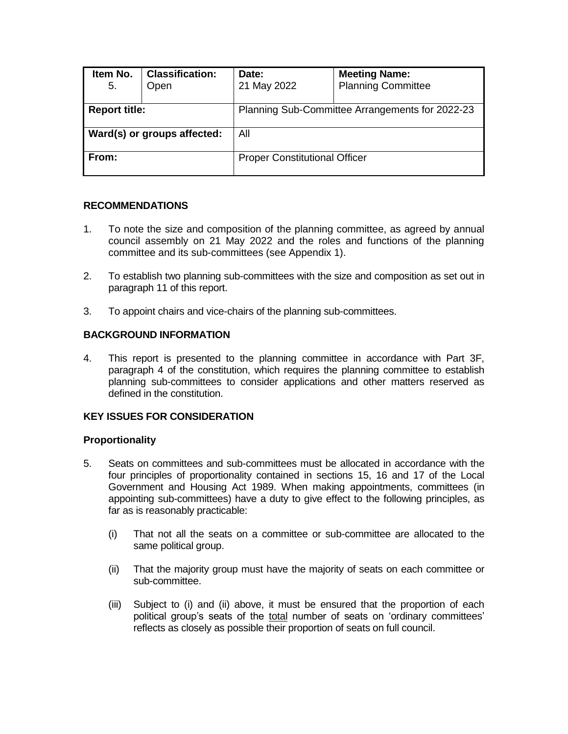| Item No.<br>5.              | <b>Classification:</b><br>Open | Date:<br>21 May 2022                            | <b>Meeting Name:</b><br><b>Planning Committee</b> |  |
|-----------------------------|--------------------------------|-------------------------------------------------|---------------------------------------------------|--|
| <b>Report title:</b>        |                                | Planning Sub-Committee Arrangements for 2022-23 |                                                   |  |
| Ward(s) or groups affected: |                                | All                                             |                                                   |  |
| From:                       |                                | <b>Proper Constitutional Officer</b>            |                                                   |  |

### **RECOMMENDATIONS**

- 1. To note the size and composition of the planning committee, as agreed by annual council assembly on 21 May 2022 and the roles and functions of the planning committee and its sub-committees (see Appendix 1).
- 2. To establish two planning sub-committees with the size and composition as set out in paragraph 11 of this report.
- 3. To appoint chairs and vice-chairs of the planning sub-committees.

## **BACKGROUND INFORMATION**

4. This report is presented to the planning committee in accordance with Part 3F, paragraph 4 of the constitution, which requires the planning committee to establish planning sub-committees to consider applications and other matters reserved as defined in the constitution.

#### **KEY ISSUES FOR CONSIDERATION**

## **Proportionality**

- 5. Seats on committees and sub-committees must be allocated in accordance with the four principles of proportionality contained in sections 15, 16 and 17 of the Local Government and Housing Act 1989. When making appointments, committees (in appointing sub-committees) have a duty to give effect to the following principles, as far as is reasonably practicable:
	- (i) That not all the seats on a committee or sub-committee are allocated to the same political group.
	- (ii) That the majority group must have the majority of seats on each committee or sub-committee.
	- (iii) Subject to (i) and (ii) above, it must be ensured that the proportion of each political group's seats of the total number of seats on 'ordinary committees' reflects as closely as possible their proportion of seats on full council.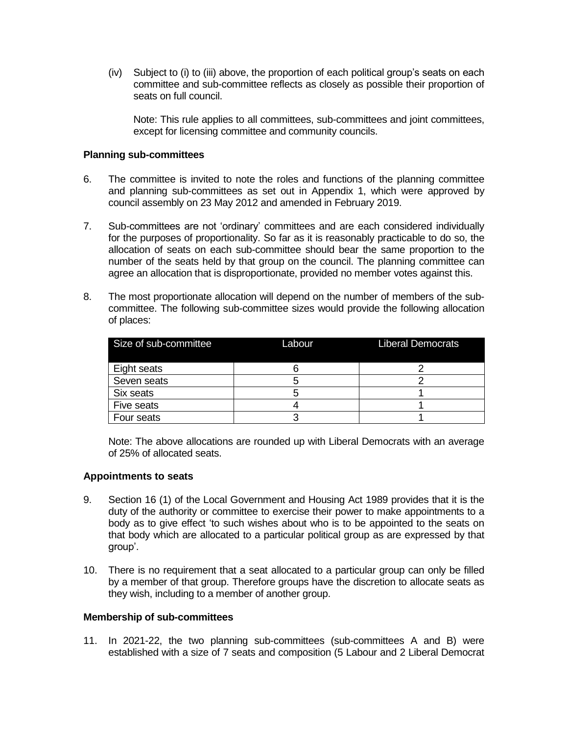(iv) Subject to (i) to (iii) above, the proportion of each political group's seats on each committee and sub-committee reflects as closely as possible their proportion of seats on full council.

Note: This rule applies to all committees, sub-committees and joint committees, except for licensing committee and community councils.

#### **Planning sub-committees**

- 6. The committee is invited to note the roles and functions of the planning committee and planning sub-committees as set out in Appendix 1, which were approved by council assembly on 23 May 2012 and amended in February 2019.
- 7. Sub-committees are not 'ordinary' committees and are each considered individually for the purposes of proportionality. So far as it is reasonably practicable to do so, the allocation of seats on each sub-committee should bear the same proportion to the number of the seats held by that group on the council. The planning committee can agree an allocation that is disproportionate, provided no member votes against this.
- 8. The most proportionate allocation will depend on the number of members of the subcommittee. The following sub-committee sizes would provide the following allocation of places:

| Size of sub-committee | Labour | <b>Liberal Democrats</b> |
|-----------------------|--------|--------------------------|
| Eight seats           |        |                          |
| Seven seats           |        |                          |
| Six seats             |        |                          |
| Five seats            |        |                          |
| Four seats            |        |                          |

Note: The above allocations are rounded up with Liberal Democrats with an average of 25% of allocated seats.

#### **Appointments to seats**

- 9. Section 16 (1) of the Local Government and Housing Act 1989 provides that it is the duty of the authority or committee to exercise their power to make appointments to a body as to give effect 'to such wishes about who is to be appointed to the seats on that body which are allocated to a particular political group as are expressed by that group'.
- 10. There is no requirement that a seat allocated to a particular group can only be filled by a member of that group. Therefore groups have the discretion to allocate seats as they wish, including to a member of another group.

#### **Membership of sub-committees**

11. In 2021-22, the two planning sub-committees (sub-committees A and B) were established with a size of 7 seats and composition (5 Labour and 2 Liberal Democrat